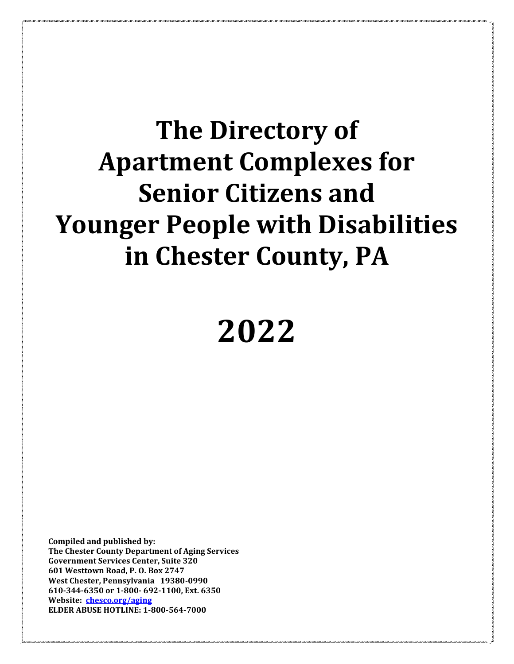# **The Directory of Apartment Complexes for Senior Citizens and Younger People with Disabilities in Chester County, PA**

# **2022**

**Compiled and published by: The Chester County Department of Aging Services Government Services Center, Suite 320 601 Westtown Road, P. O. Box 2747 West Chester, Pennsylvania 19380-0990 610-344-6350 or 1-800- 692-1100, Ext. 6350 Website: [chesco.org/aging](http://www.chesco.org/aging) ELDER ABUSE HOTLINE: 1-800-564-7000**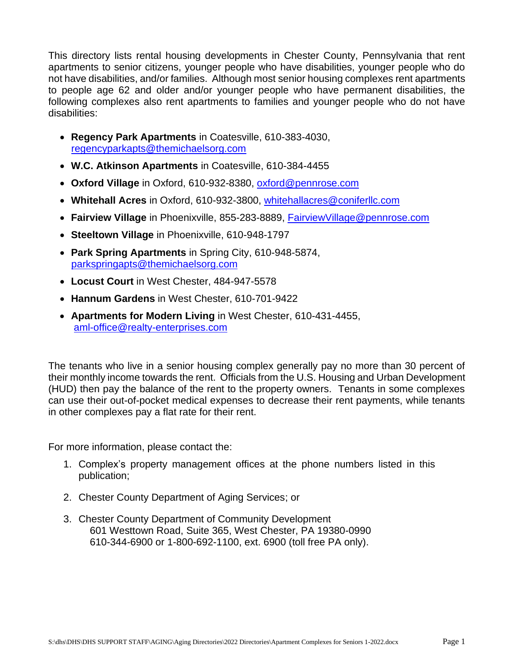This directory lists rental housing developments in Chester County, Pennsylvania that rent apartments to senior citizens, younger people who have disabilities, younger people who do not have disabilities, and/or families. Although most senior housing complexes rent apartments to people age 62 and older and/or younger people who have permanent disabilities, the following complexes also rent apartments to families and younger people who do not have disabilities:

- **Regency Park Apartments** in Coatesville, 610-383-4030, [regencyparkapts@themichaelsorg.com](mailto:regencyparkapts@themichaelsorg.com)
- **W.C. Atkinson Apartments** in Coatesville, 610-384-4455
- **Oxford Village** in Oxford, 610-932-8380, [oxford@pennrose.com](mailto:oxford@pennrose.com)
- **Whitehall Acres** in Oxford, 610-932-3800, [whitehallacres@coniferllc.com](mailto:whitehallacres@coniferllc.com)
- **Fairview Village** in Phoenixville, 855-283-8889, [FairviewVillage@pennrose.com](mailto:FairviewVillage@pennrose.com)
- **Steeltown Village** in Phoenixville, 610-948-1797
- **Park Spring Apartments** in Spring City, 610-948-5874, [parkspringapts@themichaelsorg.com](mailto:parkspringapts@themichaelsorg.com)
- **Locust Court** in West Chester, 484-947-5578
- **Hannum Gardens** in West Chester, 610-701-9422
- **Apartments for Modern Living** in West Chester, 610-431-4455, [aml-office@realty-enterprises.com](mailto:aml-office@realty-enterprises.com)

The tenants who live in a senior housing complex generally pay no more than 30 percent of their monthly income towards the rent. Officials from the U.S. Housing and Urban Development (HUD) then pay the balance of the rent to the property owners. Tenants in some complexes can use their out-of-pocket medical expenses to decrease their rent payments, while tenants in other complexes pay a flat rate for their rent.

For more information, please contact the:

- 1. Complex's property management offices at the phone numbers listed in this publication;
- 2. Chester County Department of Aging Services; or
- 3. Chester County Department of Community Development 601 Westtown Road, Suite 365, West Chester, PA 19380-0990 610-344-6900 or 1-800-692-1100, ext. 6900 (toll free PA only).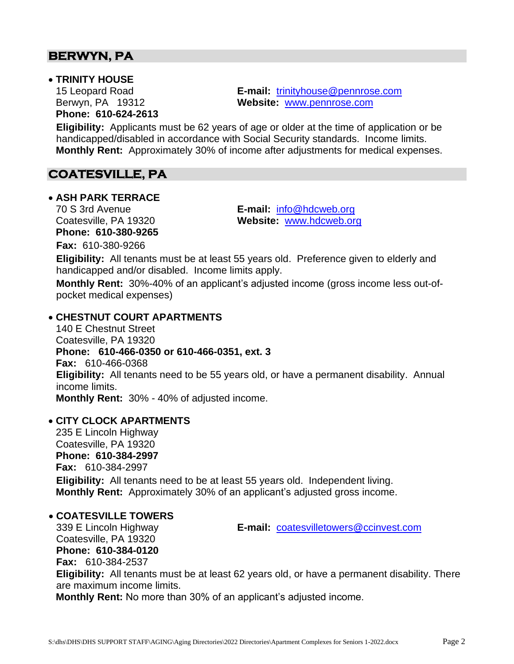# **BERWYN, PA**

#### • **TRINITY HOUSE**

**Phone: 610-624-2613**

15 Leopard Road **E-mail:** [trinityhouse@pennrose.com](mailto:trinityhouse@pennrose.com) Berwyn, PA 19312 **Website:** [www.pennrose.com](http://www.pennrose.com/)

**Eligibility:** Applicants must be 62 years of age or older at the time of application or be handicapped/disabled in accordance with Social Security standards. Income limits. **Monthly Rent:** Approximately 30% of income after adjustments for medical expenses.

# **COATESVILLE, PA**

#### • **ASH PARK TERRACE**

**Phone: 610-380-9265 Fax:** 610-380-9266

70 S 3rd Avenue **E-mail:** [info@hdcweb.org](mailto:info@hdcweb.org) Coatesville, PA 19320 **Website:** [www.hdcweb.org](http://www.hdcweb.org/)

**Eligibility:** All tenants must be at least 55 years old. Preference given to elderly and handicapped and/or disabled. Income limits apply.

**Monthly Rent:** 30%-40% of an applicant's adjusted income (gross income less out-ofpocket medical expenses)

#### • **CHESTNUT COURT APARTMENTS**

140 E Chestnut Street Coatesville, PA 19320 **Phone: 610-466-0350 or 610-466-0351, ext. 3 Fax:** 610-466-0368 **Eligibility:** All tenants need to be 55 years old, or have a permanent disability. Annual income limits. **Monthly Rent:** 30% - 40% of adjusted income.

# • **CITY CLOCK APARTMENTS**

235 E Lincoln Highway Coatesville, PA 19320 **Phone: 610-384-2997 Fax:** 610-384-2997 **Eligibility:** All tenants need to be at least 55 years old. Independent living. **Monthly Rent:** Approximately 30% of an applicant's adjusted gross income.

#### • **COATESVILLE TOWERS**

339 E Lincoln Highway **E-mail:** [coatesvilletowers@ccinvest.com](mailto:coatesvilletowers@ccinvest.com) Coatesville, PA 19320 **Phone: 610-384-0120 Fax:** 610-384-2537 **Eligibility:** All tenants must be at least 62 years old, or have a permanent disability. There are maximum income limits.

**Monthly Rent:** No more than 30% of an applicant's adjusted income.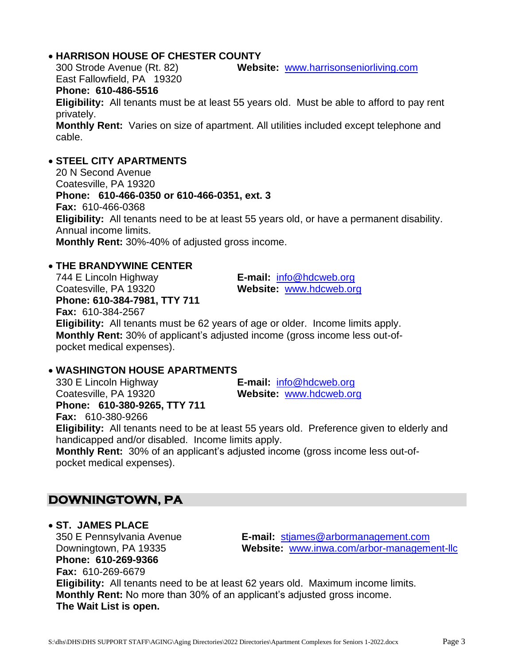#### • **HARRISON HOUSE OF CHESTER COUNTY**

300 Strode Avenue (Rt. 82) **Website:** [www.harrisonseniorliving.com](http://www.harrisonseniorliving.com/) East Fallowfield, PA 19320

#### **Phone: 610-486-5516**

**Eligibility:** All tenants must be at least 55 years old. Must be able to afford to pay rent privately.

**Monthly Rent:** Varies on size of apartment. All utilities included except telephone and cable.

# • **STEEL CITY APARTMENTS**

20 N Second Avenue Coatesville, PA 19320 **Phone: 610-466-0350 or 610-466-0351, ext. 3 Fax:** 610-466-0368 **Eligibility:** All tenants need to be at least 55 years old, or have a permanent disability. Annual income limits. **Monthly Rent:** 30%-40% of adjusted gross income.

# • **THE BRANDYWINE CENTER**

744 E Lincoln Highway **E-mail:** [info@hdcweb.org](mailto:info@hdcweb.org) Coatesville, PA 19320 **Website:** [www.hdcweb.org](http://www.hdcweb.org/) **Phone: 610-384-7981, TTY 711 Fax:** 610-384-2567 **Eligibility:** All tenants must be 62 years of age or older. Income limits apply. **Monthly Rent:** 30% of applicant's adjusted income (gross income less out-ofpocket medical expenses).

# • **WASHINGTON HOUSE APARTMENTS**

330 E Lincoln Highway **E-mail:** [info@hdcweb.org](mailto:info@hdcweb.org) Coatesville, PA 19320 **Website:** [www.hdcweb.org](http://www.hdcweb.org/) **Phone: 610-380-9265, TTY 711**

**Fax:** 610-380-9266

**Eligibility:** All tenants need to be at least 55 years old. Preference given to elderly and handicapped and/or disabled. Income limits apply.

**Monthly Rent:** 30% of an applicant's adjusted income (gross income less out-ofpocket medical expenses).

# **DOWNINGTOWN, PA**

• **ST. JAMES PLACE Phone: 610-269-9366 Fax:** 610-269-6679

350 E Pennsylvania Avenue **E-mail:** [stjames@arbormanagement.com](mailto:stjames@arbormanagement.com) Downingtown, PA 19335 **Website:** [www.inwa.com/arbor-management-llc](http://www.inwa.com/arbor-management-llc)

**Eligibility:** All tenants need to be at least 62 years old. Maximum income limits. **Monthly Rent:** No more than 30% of an applicant's adjusted gross income. **The Wait List is open.**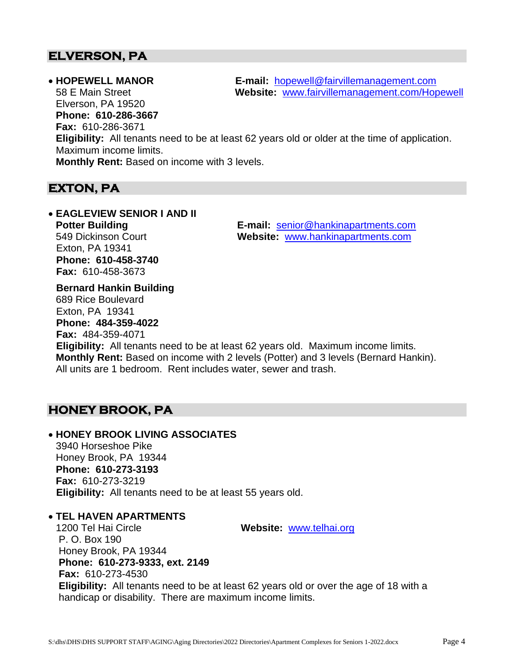# **ELVERSON, PA**

Elverson, PA 19520 **Phone: 610-286-3667**

**Fax:** 610-286-3671

• **HOPEWELL MANOR E-mail:** [hopewell@fairvillemanagement.com](mailto:stjames@arbormanagement.com) 58 E Main Street **Website:** [www.fairvillemanagement.com/Hopewell](http://www.fairvillemanagement.com/Hopewell)

**Eligibility:** All tenants need to be at least 62 years old or older at the time of application. Maximum income limits.

**Monthly Rent:** Based on income with 3 levels.

# **EXTON, PA**

• **EAGLEVIEW SENIOR I AND II** Exton, PA 19341 **Phone: 610-458-3740 Fax:** 610-458-3673

**Potter Building E-mail:** [senior@hankinapartments.com](mailto:senior@hankinapartments.com) 549 Dickinson Court **Website:** [www.hankinapartments.com](http://www.hankinapartments.com/)

**Bernard Hankin Building** 689 Rice Boulevard Exton, PA 19341 **Phone: 484-359-4022 Fax:** 484-359-4071 **Eligibility:** All tenants need to be at least 62 years old. Maximum income limits. **Monthly Rent:** Based on income with 2 levels (Potter) and 3 levels (Bernard Hankin). All units are 1 bedroom. Rent includes water, sewer and trash.

# **HONEY BROOK, PA**

# • **HONEY BROOK LIVING ASSOCIATES**

3940 Horseshoe Pike Honey Brook, PA 19344 **Phone: 610-273-3193 Fax:** 610-273-3219 **Eligibility:** All tenants need to be at least 55 years old.

# • **TEL HAVEN APARTMENTS**

1200 Tel Hai Circle **Website:** [www.telhai.org](http://www.telhai.org/)

P. O. Box 190 Honey Brook, PA 19344 **Phone: 610-273-9333, ext. 2149 Fax:** 610-273-4530 **Eligibility:** All tenants need to be at least 62 years old or over the age of 18 with a handicap or disability. There are maximum income limits.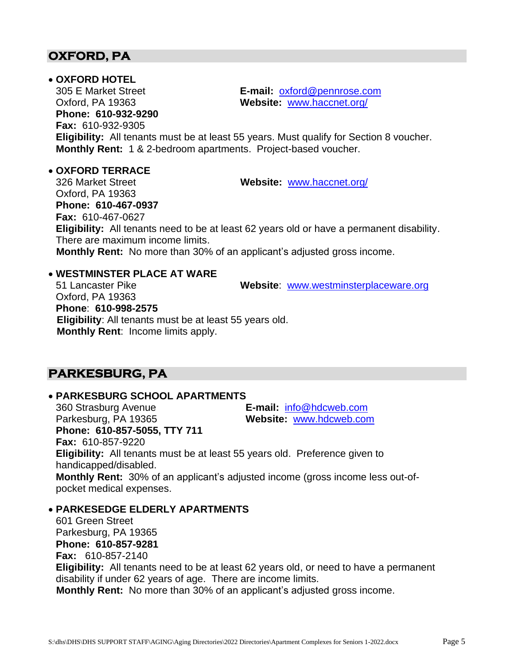# **OXFORD, PA**

#### • **OXFORD HOTEL**

305 E Market Street **E-mail:** [oxford@pennrose.com](mailto:oxford@pennrose.com) Oxford, PA 19363 **Website:** [www.haccnet.org/](http://www.haccnet.org/) **Phone: 610-932-9290 Fax:** 610-932-9305 **Eligibility:** All tenants must be at least 55 years. Must qualify for Section 8 voucher. **Monthly Rent:** 1 & 2-bedroom apartments. Project-based voucher.

• **OXFORD TERRACE**

326 Market Street **Website:** [www.haccnet.org/](http://www.haccnet.org/) Oxford, PA 19363 **Phone: 610-467-0937 Fax:** 610-467-0627 **Eligibility:** All tenants need to be at least 62 years old or have a permanent disability. There are maximum income limits. **Monthly Rent:** No more than 30% of an applicant's adjusted gross income.

# • **WESTMINSTER PLACE AT WARE**

51 Lancaster Pike **Website**: [www.westminsterplaceware.org](http://www.westminsterplaceware.org/) Oxford, PA 19363 **Phone**: **610-998-2575 Eligibility**: All tenants must be at least 55 years old. **Monthly Rent**: Income limits apply.

# **PARKESBURG, PA**

#### • **PARKESBURG SCHOOL APARTMENTS**

360 Strasburg Avenue **E-mail:** [info@hdcweb.com](mailto:info@hdcweb.com) Parkesburg, PA 19365 **Website:** [www.hdcweb.com](http://www.hdcweb.com/) **Phone: 610-857-5055, TTY 711 Fax:** 610-857-9220 **Eligibility:** All tenants must be at least 55 years old. Preference given to handicapped/disabled.

**Monthly Rent:** 30% of an applicant's adjusted income (gross income less out-ofpocket medical expenses.

#### • **PARKESEDGE ELDERLY APARTMENTS**

601 Green Street Parkesburg, PA 19365 **Phone: 610-857-9281 Fax:** 610-857-2140 **Eligibility:** All tenants need to be at least 62 years old, or need to have a permanent disability if under 62 years of age. There are income limits. **Monthly Rent:** No more than 30% of an applicant's adjusted gross income.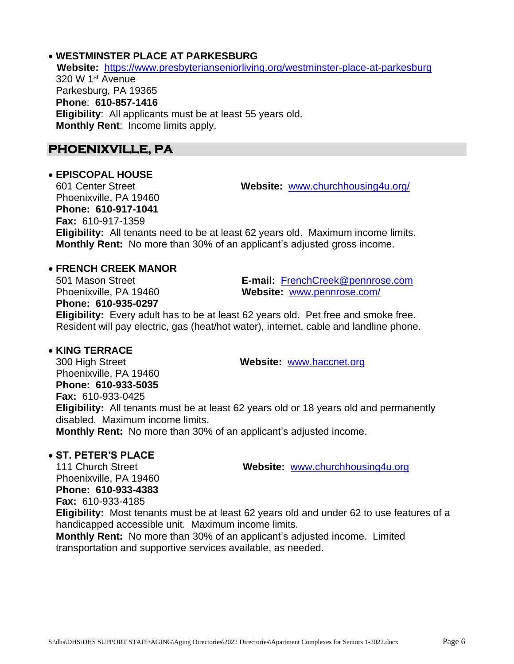#### • **WESTMINSTER PLACE AT PARKESBURG**

 **Website:** <https://www.presbyterianseniorliving.org/westminster-place-at-parkesburg> 320 W 1st Avenue Parkesburg, PA 19365 **Phone**: **610-857-1416 Eligibility**: All applicants must be at least 55 years old. **Monthly Rent**: Income limits apply.

# **PHOENIXVILLE, PA**

#### • **EPISCOPAL HOUSE**

601 Center Street **Website:** [www.churchhousing4u.org/](http://www.churchhousing4u.org/) Phoenixville, PA 19460 **Phone: 610-917-1041 Fax:** 610-917-1359 **Eligibility:** All tenants need to be at least 62 years old. Maximum income limits. **Monthly Rent:** No more than 30% of an applicant's adjusted gross income.

# • **FRENCH CREEK MANOR**

**Phone: 610-935-0297**

501 Mason Street **E-mail:** [FrenchCreek@pennrose.com](mailto:FrenchCreek@pennrose.com) Phoenixville, PA 19460 **Website:** [www.pennrose.com/](http://www.pennrose.com/)

**Eligibility:** Every adult has to be at least 62 years old. Pet free and smoke free. Resident will pay electric, gas (heat/hot water), internet, cable and landline phone.

# • **KING TERRACE**

300 High Street **Website:** [www.haccnet.org](http://www.haccnet.org/) Phoenixville, PA 19460 **Phone: 610-933-5035 Fax:** 610-933-0425 **Eligibility:** All tenants must be at least 62 years old or 18 years old and permanently disabled. Maximum income limits. **Monthly Rent:** No more than 30% of an applicant's adjusted income.

#### • **ST. PETER'S PLACE**

111 Church Street **Website:** [www.churchhousing4u.org](http://www.churchhousing4u.org/)

Phoenixville, PA 19460 **Phone: 610-933-4383**

**Fax:** 610-933-4185

**Eligibility:** Most tenants must be at least 62 years old and under 62 to use features of a handicapped accessible unit. Maximum income limits.

**Monthly Rent:** No more than 30% of an applicant's adjusted income. Limited transportation and supportive services available, as needed.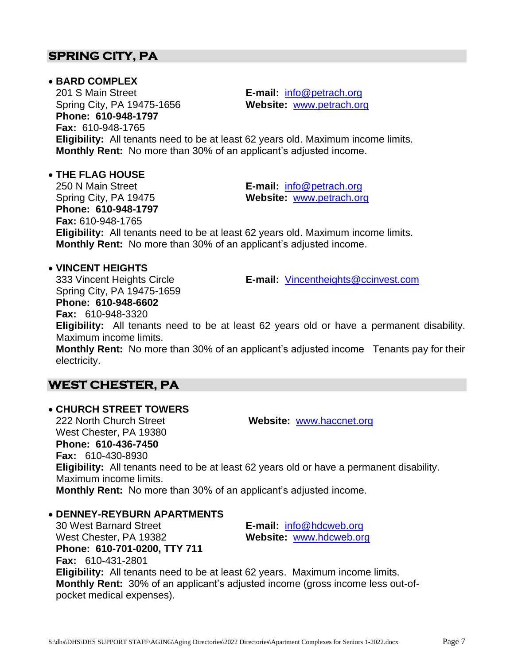# • **BARD COMPLEX**

201 S Main Street **E-mail:** [info@petrach.org](mailto:info@petrach.org) Spring City, PA 19475-1656 **Website:** [www.petrach.org](http://www.petrach.org/) **Phone: 610-948-1797 Fax:** 610-948-1765

**Eligibility:** All tenants need to be at least 62 years old. Maximum income limits. **Monthly Rent:** No more than 30% of an applicant's adjusted income.

# • **THE FLAG HOUSE**

250 N Main Street **E-mail:** [info@petrach.org](mailto:info@petrach.org) Spring City, PA 19475 **Website:** [www.petrach.org](http://www.petrach.org/) **Phone: 610-948-1797 Fax:** 610-948-1765 **Eligibility:** All tenants need to be at least 62 years old. Maximum income limits. **Monthly Rent:** No more than 30% of an applicant's adjusted income.

# • **VINCENT HEIGHTS**

**Fax:** 610-948-3320

Spring City, PA 19475-1659 **Phone: 610-948-6602**

333 Vincent Heights Circle **E-mail:** [Vincentheights@ccinvest.com](mailto:Vincentheights@ccinvest.com)

**Eligibility:** All tenants need to be at least 62 years old or have a permanent disability. Maximum income limits.

**Monthly Rent:** No more than 30% of an applicant's adjusted income Tenants pay for their electricity.

# **WEST CHESTER, PA**

# • **CHURCH STREET TOWERS**

222 North Church Street **Website:** [www.haccnet.org](http://www.haccnet.org/) West Chester, PA 19380 **Phone: 610-436-7450 Fax:** 610-430-8930 **Eligibility:** All tenants need to be at least 62 years old or have a permanent disability. Maximum income limits. **Monthly Rent:** No more than 30% of an applicant's adjusted income.

# • **DENNEY-REYBURN APARTMENTS**

30 West Barnard Street **E-mail:** [info@hdcweb.org](mailto:info@hdcweb.org) West Chester, PA 19382 **Website:** [www.hdcweb.org](http://www.hdcweb.org/) **Phone: 610-701-0200, TTY 711 Fax:** 610-431-2801 **Eligibility:** All tenants need to be at least 62 years. Maximum income limits. **Monthly Rent:** 30% of an applicant's adjusted income (gross income less out-ofpocket medical expenses).